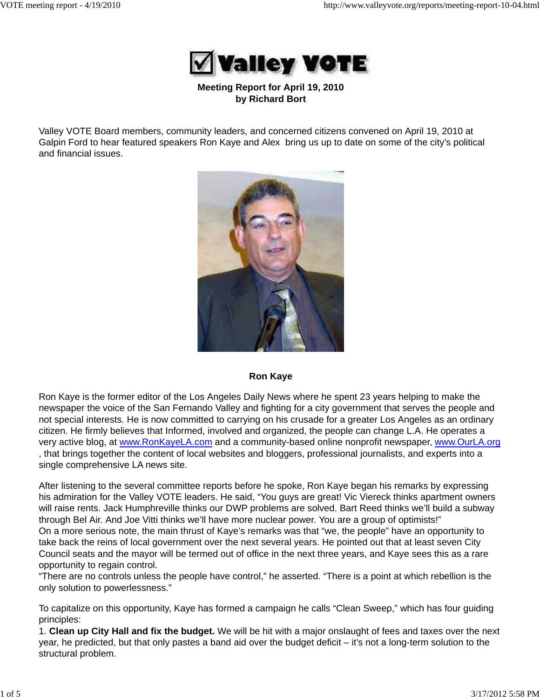

**Meeting Report for April 19, 2010 by Richard Bort**

Valley VOTE Board members, community leaders, and concerned citizens convened on April 19, 2010 at Galpin Ford to hear featured speakers Ron Kaye and Alex bring us up to date on some of the city's political and financial issues.



#### **Ron Kaye**

Ron Kaye is the former editor of the Los Angeles Daily News where he spent 23 years helping to make the newspaper the voice of the San Fernando Valley and fighting for a city government that serves the people and not special interests. He is now committed to carrying on his crusade for a greater Los Angeles as an ordinary citizen. He firmly believes that Informed, involved and organized, the people can change L.A. He operates a very active blog, at www.RonKayeLA.com and a community-based online nonprofit newspaper, www.OurLA.org , that brings together the content of local websites and bloggers, professional journalists, and experts into a single comprehensive LA news site.

After listening to the several committee reports before he spoke, Ron Kaye began his remarks by expressing his admiration for the Valley VOTE leaders. He said, "You guys are great! Vic Viereck thinks apartment owners will raise rents. Jack Humphreville thinks our DWP problems are solved. Bart Reed thinks we'll build a subway through Bel Air. And Joe Vitti thinks we'll have more nuclear power. You are a group of optimists!" On a more serious note, the main thrust of Kaye's remarks was that "we, the people" have an opportunity to take back the reins of local government over the next several years. He pointed out that at least seven City Council seats and the mayor will be termed out of office in the next three years, and Kaye sees this as a rare opportunity to regain control.

"There are no controls unless the people have control," he asserted. "There is a point at which rebellion is the only solution to powerlessness."

To capitalize on this opportunity, Kaye has formed a campaign he calls "Clean Sweep," which has four guiding principles:

1. **Clean up City Hall and fix the budget.** We will be hit with a major onslaught of fees and taxes over the next year, he predicted, but that only pastes a band aid over the budget deficit – it's not a long-term solution to the structural problem.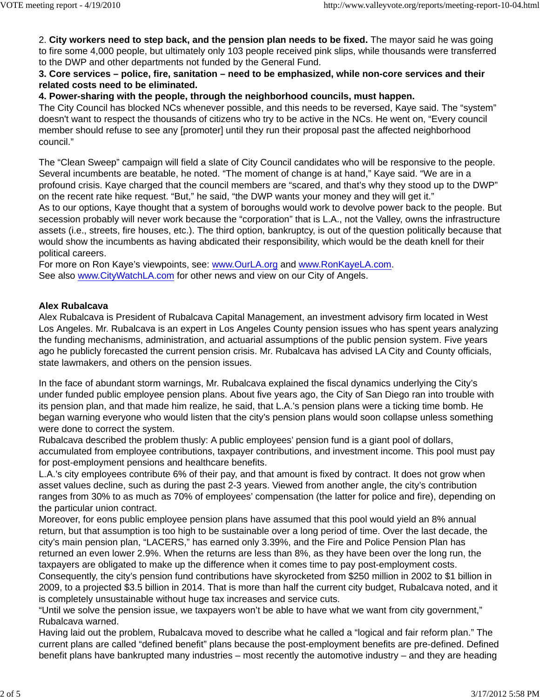2. **City workers need to step back, and the pension plan needs to be fixed.** The mayor said he was going to fire some 4,000 people, but ultimately only 103 people received pink slips, while thousands were transferred to the DWP and other departments not funded by the General Fund.

### **3. Core services – police, fire, sanitation – need to be emphasized, while non-core services and their related costs need to be eliminated.**

### **4. Power-sharing with the people, through the neighborhood councils, must happen.**

The City Council has blocked NCs whenever possible, and this needs to be reversed, Kaye said. The "system" doesn't want to respect the thousands of citizens who try to be active in the NCs. He went on, "Every council member should refuse to see any [promoter] until they run their proposal past the affected neighborhood council."

The "Clean Sweep" campaign will field a slate of City Council candidates who will be responsive to the people. Several incumbents are beatable, he noted. "The moment of change is at hand," Kaye said. "We are in a profound crisis. Kaye charged that the council members are "scared, and that's why they stood up to the DWP" on the recent rate hike request. "But," he said, "the DWP wants your money and they will get it."

As to our options, Kaye thought that a system of boroughs would work to devolve power back to the people. But secession probably will never work because the "corporation" that is L.A., not the Valley, owns the infrastructure assets (i.e., streets, fire houses, etc.). The third option, bankruptcy, is out of the question politically because that would show the incumbents as having abdicated their responsibility, which would be the death knell for their political careers.

For more on Ron Kaye's viewpoints, see: www.OurLA.org and www.RonKayeLA.com. See also www.CityWatchLA.com for other news and view on our City of Angels.

### **Alex Rubalcava**

Alex Rubalcava is President of Rubalcava Capital Management, an investment advisory firm located in West Los Angeles. Mr. Rubalcava is an expert in Los Angeles County pension issues who has spent years analyzing the funding mechanisms, administration, and actuarial assumptions of the public pension system. Five years ago he publicly forecasted the current pension crisis. Mr. Rubalcava has advised LA City and County officials, state lawmakers, and others on the pension issues.

In the face of abundant storm warnings, Mr. Rubalcava explained the fiscal dynamics underlying the City's under funded public employee pension plans. About five years ago, the City of San Diego ran into trouble with its pension plan, and that made him realize, he said, that L.A.'s pension plans were a ticking time bomb. He began warning everyone who would listen that the city's pension plans would soon collapse unless something were done to correct the system.

Rubalcava described the problem thusly: A public employees' pension fund is a giant pool of dollars, accumulated from employee contributions, taxpayer contributions, and investment income. This pool must pay for post-employment pensions and healthcare benefits.

L.A.'s city employees contribute 6% of their pay, and that amount is fixed by contract. It does not grow when asset values decline, such as during the past 2-3 years. Viewed from another angle, the city's contribution ranges from 30% to as much as 70% of employees' compensation (the latter for police and fire), depending on the particular union contract.

Moreover, for eons public employee pension plans have assumed that this pool would yield an 8% annual return, but that assumption is too high to be sustainable over a long period of time. Over the last decade, the city's main pension plan, "LACERS," has earned only 3.39%, and the Fire and Police Pension Plan has returned an even lower 2.9%. When the returns are less than 8%, as they have been over the long run, the taxpayers are obligated to make up the difference when it comes time to pay post-employment costs. Consequently, the city's pension fund contributions have skyrocketed from \$250 million in 2002 to \$1 billion in 2009, to a projected \$3.5 billion in 2014. That is more than half the current city budget, Rubalcava noted, and it is completely unsustainable without huge tax increases and service cuts.

"Until we solve the pension issue, we taxpayers won't be able to have what we want from city government," Rubalcava warned.

Having laid out the problem, Rubalcava moved to describe what he called a "logical and fair reform plan." The current plans are called "defined benefit" plans because the post-employment benefits are pre-defined. Defined benefit plans have bankrupted many industries – most recently the automotive industry – and they are heading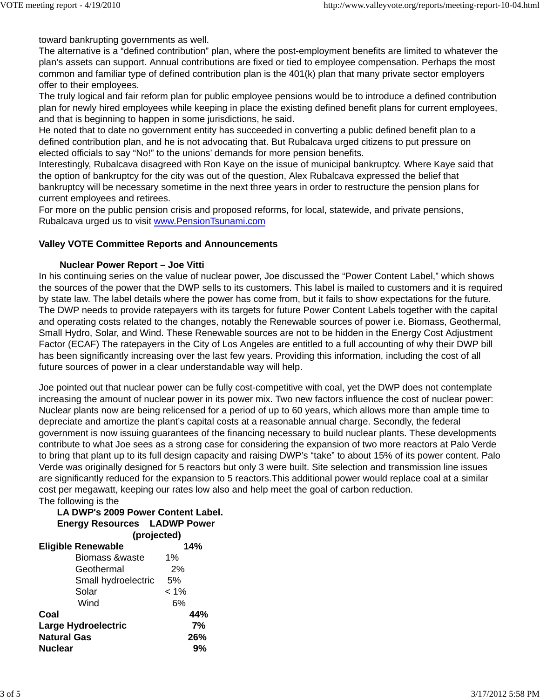toward bankrupting governments as well.

The alternative is a "defined contribution" plan, where the post-employment benefits are limited to whatever the plan's assets can support. Annual contributions are fixed or tied to employee compensation. Perhaps the most common and familiar type of defined contribution plan is the 401(k) plan that many private sector employers offer to their employees.

The truly logical and fair reform plan for public employee pensions would be to introduce a defined contribution plan for newly hired employees while keeping in place the existing defined benefit plans for current employees, and that is beginning to happen in some jurisdictions, he said.

He noted that to date no government entity has succeeded in converting a public defined benefit plan to a defined contribution plan, and he is not advocating that. But Rubalcava urged citizens to put pressure on elected officials to say "No!" to the unions' demands for more pension benefits.

Interestingly, Rubalcava disagreed with Ron Kaye on the issue of municipal bankruptcy. Where Kaye said that the option of bankruptcy for the city was out of the question, Alex Rubalcava expressed the belief that bankruptcy will be necessary sometime in the next three years in order to restructure the pension plans for current employees and retirees.

For more on the public pension crisis and proposed reforms, for local, statewide, and private pensions, Rubalcava urged us to visit www.PensionTsunami.com

## **Valley VOTE Committee Reports and Announcements**

## **Nuclear Power Report – Joe Vitti**

In his continuing series on the value of nuclear power, Joe discussed the "Power Content Label," which shows the sources of the power that the DWP sells to its customers. This label is mailed to customers and it is required by state law. The label details where the power has come from, but it fails to show expectations for the future. The DWP needs to provide ratepayers with its targets for future Power Content Labels together with the capital and operating costs related to the changes, notably the Renewable sources of power i.e. Biomass, Geothermal, Small Hydro, Solar, and Wind. These Renewable sources are not to be hidden in the Energy Cost Adjustment Factor (ECAF) The ratepayers in the City of Los Angeles are entitled to a full accounting of why their DWP bill has been significantly increasing over the last few years. Providing this information, including the cost of all future sources of power in a clear understandable way will help.

Joe pointed out that nuclear power can be fully cost-competitive with coal, yet the DWP does not contemplate increasing the amount of nuclear power in its power mix. Two new factors influence the cost of nuclear power: Nuclear plants now are being relicensed for a period of up to 60 years, which allows more than ample time to depreciate and amortize the plant's capital costs at a reasonable annual charge. Secondly, the federal government is now issuing guarantees of the financing necessary to build nuclear plants. These developments contribute to what Joe sees as a strong case for considering the expansion of two more reactors at Palo Verde to bring that plant up to its full design capacity and raising DWP's "take" to about 15% of its power content. Palo Verde was originally designed for 5 reactors but only 3 were built. Site selection and transmission line issues are significantly reduced for the expansion to 5 reactors.This additional power would replace coal at a similar cost per megawatt, keeping our rates low also and help meet the goal of carbon reduction. The following is the

# **LA DWP's 2009 Power Content Label. Energy Resources LADWP Power**

|                            | (projected) |  |
|----------------------------|-------------|--|
| <b>Eligible Renewable</b>  | 14%         |  |
| <b>Biomass &amp;waste</b>  | $1\%$       |  |
| Geothermal                 | 2%          |  |
| Small hydroelectric        | 5%          |  |
| Solar                      | $< 1\%$     |  |
| Wind                       | 6%          |  |
| Coal                       | 44%         |  |
| <b>Large Hydroelectric</b> | 7%          |  |
| <b>Natural Gas</b>         | 26%         |  |
| <b>Nuclear</b>             | 9%          |  |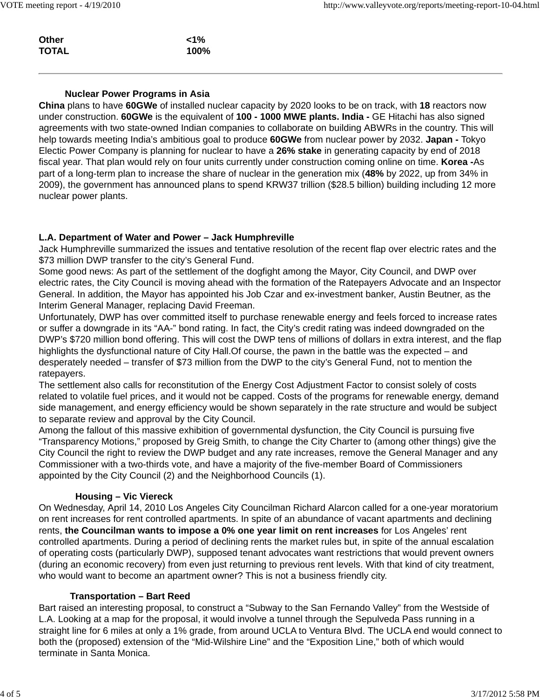| $1\%$ |
|-------|
| 100%  |
|       |

### **Nuclear Power Programs in Asia**

**China** plans to have **60GWe** of installed nuclear capacity by 2020 looks to be on track, with **18** reactors now under construction. **60GWe** is the equivalent of **100 - 1000 MWE plants. India -** GE Hitachi has also signed agreements with two state-owned Indian companies to collaborate on building ABWRs in the country. This will help towards meeting India's ambitious goal to produce **60GWe** from nuclear power by 2032. **Japan -** Tokyo Electic Power Company is planning for nuclear to have a **26% stake** in generating capacity by end of 2018 fiscal year. That plan would rely on four units currently under construction coming online on time. **Korea -**As part of a long-term plan to increase the share of nuclear in the generation mix (**48%** by 2022, up from 34% in 2009), the government has announced plans to spend KRW37 trillion (\$28.5 billion) building including 12 more nuclear power plants.

### **L.A. Department of Water and Power – Jack Humphreville**

Jack Humphreville summarized the issues and tentative resolution of the recent flap over electric rates and the \$73 million DWP transfer to the city's General Fund.

Some good news: As part of the settlement of the dogfight among the Mayor, City Council, and DWP over electric rates, the City Council is moving ahead with the formation of the Ratepayers Advocate and an Inspector General. In addition, the Mayor has appointed his Job Czar and ex-investment banker, Austin Beutner, as the Interim General Manager, replacing David Freeman.

Unfortunately, DWP has over committed itself to purchase renewable energy and feels forced to increase rates or suffer a downgrade in its "AA-" bond rating. In fact, the City's credit rating was indeed downgraded on the DWP's \$720 million bond offering. This will cost the DWP tens of millions of dollars in extra interest, and the flap highlights the dysfunctional nature of City Hall.Of course, the pawn in the battle was the expected – and desperately needed – transfer of \$73 million from the DWP to the city's General Fund, not to mention the ratepayers.

The settlement also calls for reconstitution of the Energy Cost Adjustment Factor to consist solely of costs related to volatile fuel prices, and it would not be capped. Costs of the programs for renewable energy, demand side management, and energy efficiency would be shown separately in the rate structure and would be subject to separate review and approval by the City Council.

Among the fallout of this massive exhibition of governmental dysfunction, the City Council is pursuing five "Transparency Motions," proposed by Greig Smith, to change the City Charter to (among other things) give the City Council the right to review the DWP budget and any rate increases, remove the General Manager and any Commissioner with a two-thirds vote, and have a majority of the five-member Board of Commissioners appointed by the City Council (2) and the Neighborhood Councils (1).

### **Housing – Vic Viereck**

On Wednesday, April 14, 2010 Los Angeles City Councilman Richard Alarcon called for a one-year moratorium on rent increases for rent controlled apartments. In spite of an abundance of vacant apartments and declining rents, **the Councilman wants to impose a 0% one year limit on rent increases** for Los Angeles' rent controlled apartments. During a period of declining rents the market rules but, in spite of the annual escalation of operating costs (particularly DWP), supposed tenant advocates want restrictions that would prevent owners (during an economic recovery) from even just returning to previous rent levels. With that kind of city treatment, who would want to become an apartment owner? This is not a business friendly city.

### **Transportation – Bart Reed**

Bart raised an interesting proposal, to construct a "Subway to the San Fernando Valley" from the Westside of L.A. Looking at a map for the proposal, it would involve a tunnel through the Sepulveda Pass running in a straight line for 6 miles at only a 1% grade, from around UCLA to Ventura Blvd. The UCLA end would connect to both the (proposed) extension of the "Mid-Wilshire Line" and the "Exposition Line," both of which would terminate in Santa Monica.